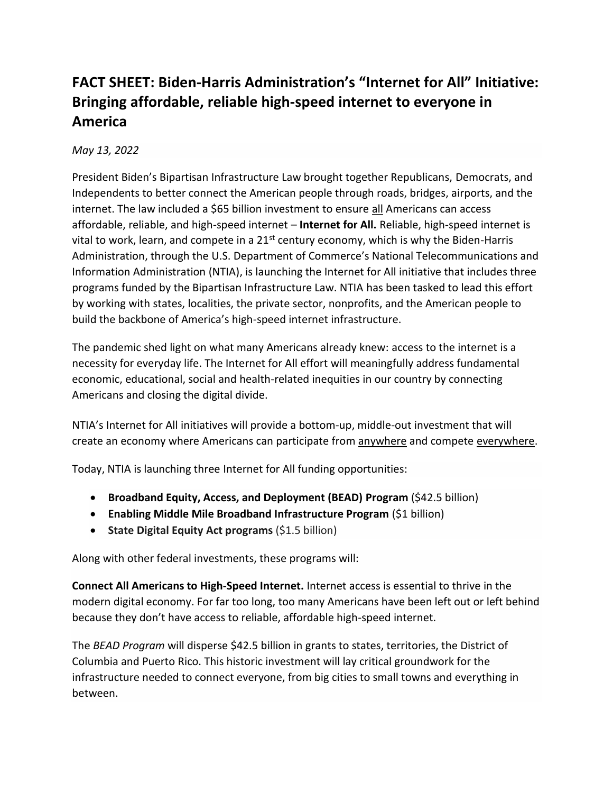## **FACT SHEET: Biden-Harris Administration's "Internet for All" Initiative: Bringing affordable, reliable high-speed internet to everyone in America**

## *May 13, 2022*

President Biden's Bipartisan Infrastructure Law brought together Republicans, Democrats, and Independents to better connect the American people through roads, bridges, airports, and the internet. The law included a \$65 billion investment to ensure all Americans can access affordable, reliable, and high-speed internet – **Internet for All.** Reliable, high-speed internet is vital to work, learn, and compete in a  $21<sup>st</sup>$  century economy, which is why the Biden-Harris Administration, through the U.S. Department of Commerce's National Telecommunications and Information Administration (NTIA), is launching the Internet for All initiative that includes three programs funded by the Bipartisan Infrastructure Law. NTIA has been tasked to lead this effort by working with states, localities, the private sector, nonprofits, and the American people to build the backbone of America's high-speed internet infrastructure.

The pandemic shed light on what many Americans already knew: access to the internet is a necessity for everyday life. The Internet for All effort will meaningfully address fundamental economic, educational, social and health-related inequities in our country by connecting Americans and closing the digital divide.

NTIA's Internet for All initiatives will provide a bottom-up, middle-out investment that will create an economy where Americans can participate from anywhere and compete everywhere.

Today, NTIA is launching three Internet for All funding opportunities:

- **Broadband Equity, Access, and Deployment (BEAD) Program** (\$42.5 billion)
- **Enabling Middle Mile Broadband Infrastructure Program** (\$1 billion)
- **State Digital Equity Act programs** (\$1.5 billion)

Along with other federal investments, these programs will:

**Connect All Americans to High-Speed Internet.** Internet access is essential to thrive in the modern digital economy. For far too long, too many Americans have been left out or left behind because they don't have access to reliable, affordable high-speed internet.

The *BEAD Program* will disperse \$42.5 billion in grants to states, territories, the District of Columbia and Puerto Rico. This historic investment will lay critical groundwork for the infrastructure needed to connect everyone, from big cities to small towns and everything in between.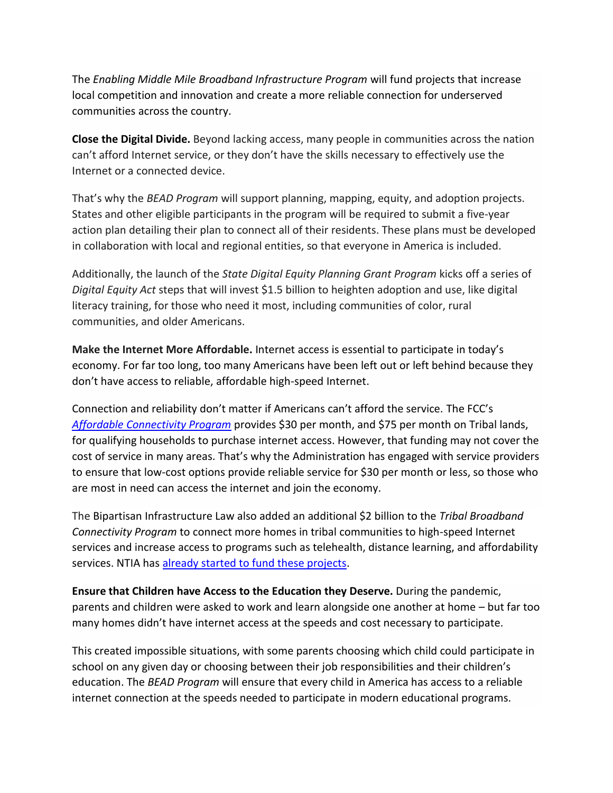The *Enabling Middle Mile Broadband Infrastructure Program* will fund projects that increase local competition and innovation and create a more reliable connection for underserved communities across the country.

**Close the Digital Divide.** Beyond lacking access, many people in communities across the nation can't afford Internet service, or they don't have the skills necessary to effectively use the Internet or a connected device.

That's why the *BEAD Program* will support planning, mapping, equity, and adoption projects. States and other eligible participants in the program will be required to submit a five-year action plan detailing their plan to connect all of their residents. These plans must be developed in collaboration with local and regional entities, so that everyone in America is included.

Additionally, the launch of the *State Digital Equity Planning Grant Program* kicks off a series of *Digital Equity Act* steps that will invest \$1.5 billion to heighten adoption and use, like digital literacy training, for those who need it most, including communities of color, rural communities, and older Americans.

**Make the Internet More Affordable.** Internet access is essential to participate in today's economy. For far too long, too many Americans have been left out or left behind because they don't have access to reliable, affordable high-speed Internet.

Connection and reliability don't matter if Americans can't afford the service. The FCC's *[Affordable Connectivity Program](https://www.whitehouse.gov/getinternet/?utm_source=getinternet.gov)* provides \$30 per month, and \$75 per month on Tribal lands, for qualifying households to purchase internet access. However, that funding may not cover the cost of service in many areas. That's why the Administration has engaged with service providers to ensure that low-cost options provide reliable service for \$30 per month or less, so those who are most in need can access the internet and join the economy.

The Bipartisan Infrastructure Law also added an additional \$2 billion to the *Tribal Broadband Connectivity Program* to connect more homes in tribal communities to high-speed Internet services and increase access to programs such as telehealth, distance learning, and affordability services. NTIA has [already started to fund these projects.](https://broadbandusa.ntia.doc.gov/resources/grant-programs/tribal-broadband-connectivity-program)

**Ensure that Children have Access to the Education they Deserve.** During the pandemic, parents and children were asked to work and learn alongside one another at home – but far too many homes didn't have internet access at the speeds and cost necessary to participate.

This created impossible situations, with some parents choosing which child could participate in school on any given day or choosing between their job responsibilities and their children's education. The *BEAD Program* will ensure that every child in America has access to a reliable internet connection at the speeds needed to participate in modern educational programs.